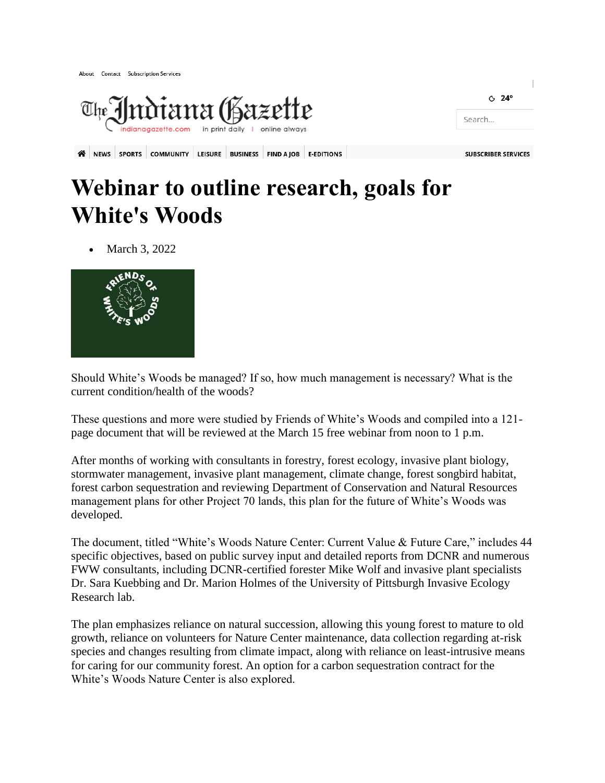About Contact Subscription Services



## **Webinar to outline research, goals for White's Woods**

March 3, 2022



Should White's Woods be managed? If so, how much management is necessary? What is the current condition/health of the woods?

These questions and more were studied by Friends of White's Woods and compiled into a 121 page document that will be reviewed at the March 15 free webinar from noon to 1 p.m.

After months of working with consultants in forestry, forest ecology, invasive plant biology, stormwater management, invasive plant management, climate change, forest songbird habitat, forest carbon sequestration and reviewing Department of Conservation and Natural Resources management plans for other Project 70 lands, this plan for the future of White's Woods was developed.

The document, titled "White's Woods Nature Center: Current Value & Future Care," includes 44 specific objectives, based on public survey input and detailed reports from DCNR and numerous FWW consultants, including DCNR-certified forester Mike Wolf and invasive plant specialists Dr. Sara Kuebbing and Dr. Marion Holmes of the University of Pittsburgh Invasive Ecology Research lab.

The plan emphasizes reliance on natural succession, allowing this young forest to mature to old growth, reliance on volunteers for Nature Center maintenance, data collection regarding at-risk species and changes resulting from climate impact, along with reliance on least-intrusive means for caring for our community forest. An option for a carbon sequestration contract for the White's Woods Nature Center is also explored.